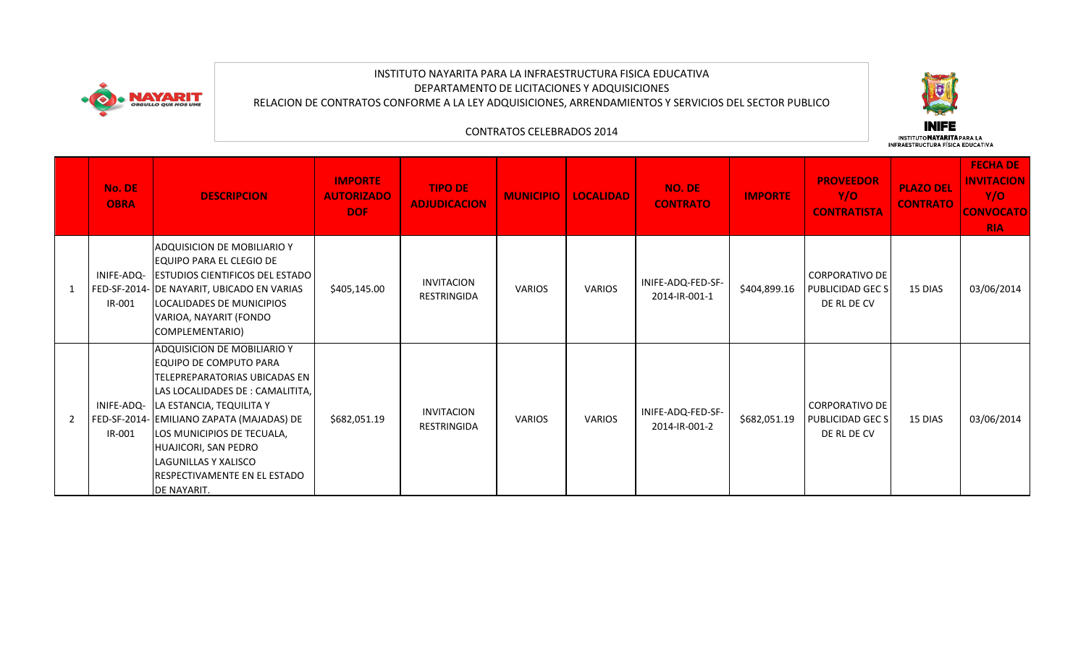

## INSTITUTO NAYARITA PARA LA INFRAESTRUCTURA FISICA EDUCATIVA DEPARTAMENTO DE LICITACIONES Y ADQUISICIONES RELACION DE CONTRATOS CONFORME A LA LEY ADQUISICIONES, ARRENDAMIENTOS Y SERVICIOS DEL SECTOR PUBLICO



## CONTRATOS CELEBRADOS 2014

|   | No. DE<br><b>OBRA</b> | <b>DESCRIPCION</b>                                                                                                                                                                                                                                                                                                                                  | <b>IMPORTE</b><br><b>AUTORIZADO</b><br><b>DOF</b> | <b>TIPO DE</b><br><b>ADJUDICACION</b>   | <b>MUNICIPIO</b> | <b>LOCALIDAD</b> | <b>NO. DE</b><br><b>CONTRATO</b>   | <b>IMPORTE</b> | <b>PROVEEDOR</b><br>Y/O<br><b>CONTRATISTA</b>     | <b>PLAZO DEL</b><br><b>CONTRATO</b> | <b>FECHA DE</b><br><b>INVITACION</b><br>Y/O<br><b>CONVOCATO</b><br><b>RIA</b> |
|---|-----------------------|-----------------------------------------------------------------------------------------------------------------------------------------------------------------------------------------------------------------------------------------------------------------------------------------------------------------------------------------------------|---------------------------------------------------|-----------------------------------------|------------------|------------------|------------------------------------|----------------|---------------------------------------------------|-------------------------------------|-------------------------------------------------------------------------------|
|   | INIFE-ADQ-<br>IR-001  | ADQUISICION DE MOBILIARIO Y<br>EQUIPO PARA EL CLEGIO DE<br><b>ESTUDIOS CIENTIFICOS DEL ESTADO</b><br>FED-SF-2014- DE NAYARIT, UBICADO EN VARIAS<br>LOCALIDADES DE MUNICIPIOS<br>VARIOA, NAYARIT (FONDO<br>COMPLEMENTARIO)                                                                                                                           | \$405,145.00                                      | <b>INVITACION</b><br><b>RESTRINGIDA</b> | VARIOS           | <b>VARIOS</b>    | INIFE-ADQ-FED-SF-<br>2014-IR-001-1 | \$404,899.16   | CORPORATIVO DE<br>PUBLICIDAD GEC S<br>DE RL DE CV | 15 DIAS                             | 03/06/2014                                                                    |
| 2 | IR-001                | <b>ADQUISICION DE MOBILIARIO Y</b><br>IEQUIPO DE COMPUTO PARA<br>TELEPREPARATORIAS UBICADAS EN<br>LAS LOCALIDADES DE : CAMALITITA,<br>INIFE-ADQ- LA ESTANCIA, TEQUILITA Y<br>FED-SF-2014- EMILIANO ZAPATA (MAJADAS) DE<br>LOS MUNICIPIOS DE TECUALA,<br>HUAJICORI, SAN PEDRO<br>LAGUNILLAS Y XALISCO<br>RESPECTIVAMENTE EN EL ESTADO<br>DE NAYARIT. | \$682,051.19                                      | <b>INVITACION</b><br><b>RESTRINGIDA</b> | <b>VARIOS</b>    | VARIOS           | INIFE-ADQ-FED-SF-<br>2014-IR-001-2 | \$682,051.19   | CORPORATIVO DE<br>PUBLICIDAD GEC S<br>DE RL DE CV | 15 DIAS                             | 03/06/2014                                                                    |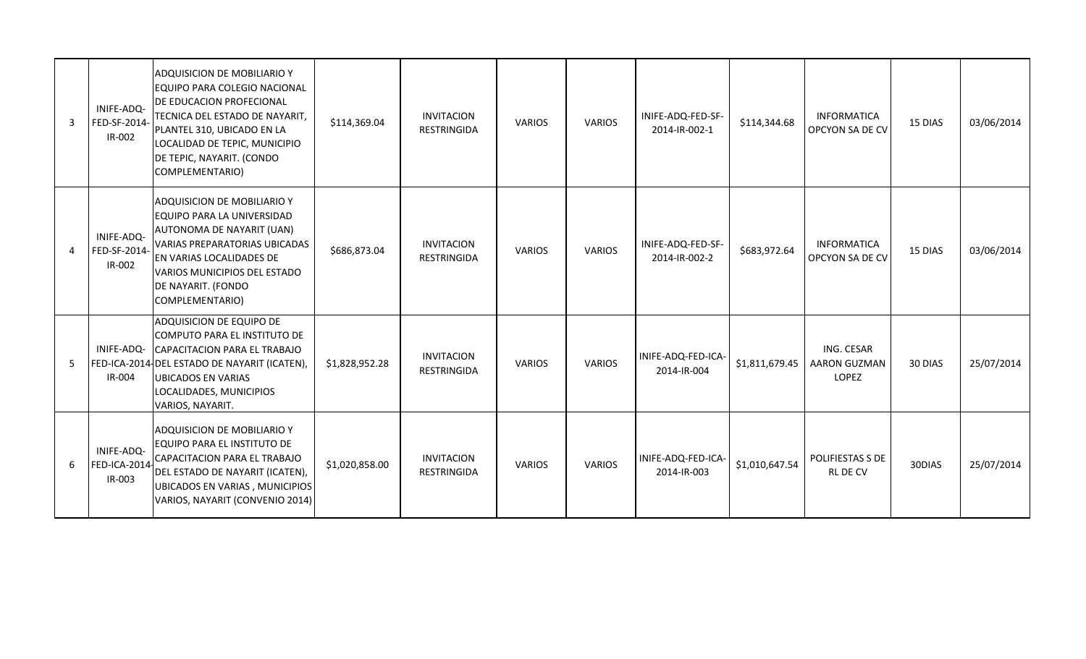| $\overline{3}$ | INIFE-ADQ-<br>FED-SF-2014-<br>IR-002        | ADQUISICION DE MOBILIARIO Y<br>EQUIPO PARA COLEGIO NACIONAL<br>DE EDUCACION PROFECIONAL<br>TECNICA DEL ESTADO DE NAYARIT,<br>PLANTEL 310, UBICADO EN LA<br>LOCALIDAD DE TEPIC, MUNICIPIO<br>DE TEPIC, NAYARIT. (CONDO<br>COMPLEMENTARIO)          | \$114,369.04   | <b>INVITACION</b><br><b>RESTRINGIDA</b> | <b>VARIOS</b> | <b>VARIOS</b> | INIFE-ADQ-FED-SF-<br>2014-IR-002-1 | \$114,344.68   | <b>INFORMATICA</b><br>OPCYON SA DE CV      | 15 DIAS | 03/06/2014 |
|----------------|---------------------------------------------|---------------------------------------------------------------------------------------------------------------------------------------------------------------------------------------------------------------------------------------------------|----------------|-----------------------------------------|---------------|---------------|------------------------------------|----------------|--------------------------------------------|---------|------------|
| $\overline{4}$ | INIFE-ADQ-<br>FED-SF-2014<br>IR-002         | ADQUISICION DE MOBILIARIO Y<br><b>EQUIPO PARA LA UNIVERSIDAD</b><br>AUTONOMA DE NAYARIT (UAN)<br><b>VARIAS PREPARATORIAS UBICADAS</b><br><b>EN VARIAS LOCALIDADES DE</b><br>VARIOS MUNICIPIOS DEL ESTADO<br>DE NAYARIT. (FONDO<br>COMPLEMENTARIO) | \$686,873.04   | <b>INVITACION</b><br><b>RESTRINGIDA</b> | <b>VARIOS</b> | <b>VARIOS</b> | INIFE-ADQ-FED-SF-<br>2014-IR-002-2 | \$683,972.64   | <b>INFORMATICA</b><br>OPCYON SA DE CV      | 15 DIAS | 03/06/2014 |
| 5              | IR-004                                      | ADQUISICION DE EQUIPO DE<br>COMPUTO PARA EL INSTITUTO DE<br>INIFE-ADQ- CAPACITACION PARA EL TRABAJO<br>FED-ICA-2014 DEL ESTADO DE NAYARIT (ICATEN),<br><b>UBICADOS EN VARIAS</b><br>LOCALIDADES, MUNICIPIOS<br>VARIOS, NAYARIT.                   | \$1,828,952.28 | <b>INVITACION</b><br><b>RESTRINGIDA</b> | <b>VARIOS</b> | <b>VARIOS</b> | INIFE-ADQ-FED-ICA-<br>2014-IR-004  | \$1,811,679.45 | ING. CESAR<br><b>AARON GUZMAN</b><br>LOPEZ | 30 DIAS | 25/07/2014 |
| 6              | INIFE-ADQ-<br><b>FED-ICA-2014</b><br>IR-003 | <b>ADQUISICION DE MOBILIARIO Y</b><br>EQUIPO PARA EL INSTITUTO DE<br>CAPACITACION PARA EL TRABAJO<br>DEL ESTADO DE NAYARIT (ICATEN),<br>UBICADOS EN VARIAS, MUNICIPIOS<br>VARIOS, NAYARIT (CONVENIO 2014)                                         | \$1,020,858.00 | <b>INVITACION</b><br><b>RESTRINGIDA</b> | <b>VARIOS</b> | <b>VARIOS</b> | INIFE-ADQ-FED-ICA-<br>2014-IR-003  | \$1,010,647.54 | POLIFIESTAS S DE<br><b>RL DE CV</b>        | 30DIAS  | 25/07/2014 |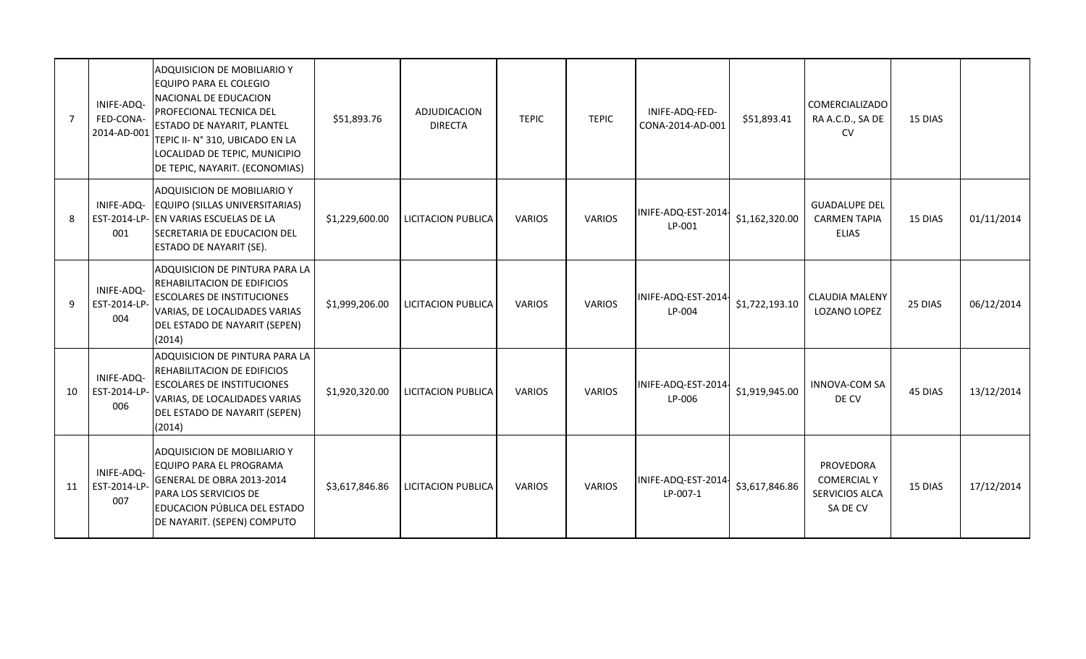| $\overline{7}$ | INIFE-ADQ-<br>FED-CONA-<br>2014-AD-001 | ADQUISICION DE MOBILIARIO Y<br><b>EQUIPO PARA EL COLEGIO</b><br>NACIONAL DE EDUCACION<br><b>PROFECIONAL TECNICA DEL</b><br>ESTADO DE NAYARIT, PLANTEL<br>TEPIC II- N° 310, UBICADO EN LA<br>LOCALIDAD DE TEPIC, MUNICIPIO<br>DE TEPIC, NAYARIT. (ECONOMIAS) | \$51,893.76    | ADJUDICACION<br><b>DIRECTA</b> | <b>TEPIC</b>  | <b>TEPIC</b>  | INIFE-ADQ-FED-<br>CONA-2014-AD-001 | \$51,893.41    | <b>COMERCIALIZADO</b><br>RA A.C.D., SA DE<br><b>CV</b>        | 15 DIAS |            |
|----------------|----------------------------------------|-------------------------------------------------------------------------------------------------------------------------------------------------------------------------------------------------------------------------------------------------------------|----------------|--------------------------------|---------------|---------------|------------------------------------|----------------|---------------------------------------------------------------|---------|------------|
| 8              | INIFE-ADQ-<br>001                      | ADQUISICION DE MOBILIARIO Y<br>EQUIPO (SILLAS UNIVERSITARIAS)<br>EST-2014-LP- EN VARIAS ESCUELAS DE LA<br>SECRETARIA DE EDUCACION DEL<br>ESTADO DE NAYARIT (SE).                                                                                            | \$1,229,600.00 | <b>LICITACION PUBLICA</b>      | <b>VARIOS</b> | <b>VARIOS</b> | INIFE-ADQ-EST-2014-<br>LP-001      | \$1,162,320.00 | <b>GUADALUPE DEL</b><br><b>CARMEN TAPIA</b><br><b>ELIAS</b>   | 15 DIAS | 01/11/2014 |
| 9              | INIFE-ADQ-<br>EST-2014-LP<br>004       | ADQUISICION DE PINTURA PARA LA<br>REHABILITACION DE EDIFICIOS<br><b>ESCOLARES DE INSTITUCIONES</b><br>VARIAS, DE LOCALIDADES VARIAS<br>DEL ESTADO DE NAYARIT (SEPEN)<br>(2014)                                                                              | \$1,999,206.00 | LICITACION PUBLICA             | <b>VARIOS</b> | <b>VARIOS</b> | INIFE-ADQ-EST-2014-<br>LP-004      | \$1,722,193.10 | <b>CLAUDIA MALENY</b><br>LOZANO LOPEZ                         | 25 DIAS | 06/12/2014 |
| 10             | INIFE-ADQ-<br>EST-2014-LP<br>006       | ADQUISICION DE PINTURA PARA LA<br>REHABILITACION DE EDIFICIOS<br><b>ESCOLARES DE INSTITUCIONES</b><br>VARIAS, DE LOCALIDADES VARIAS<br>DEL ESTADO DE NAYARIT (SEPEN)<br>(2014)                                                                              | \$1,920,320.00 | LICITACION PUBLICA             | <b>VARIOS</b> | <b>VARIOS</b> | INIFE-ADQ-EST-2014-<br>LP-006      | \$1,919,945.00 | <b>INNOVA-COM SA</b><br>DE CV                                 | 45 DIAS | 13/12/2014 |
| 11             | INIFE-ADQ-<br>EST-2014-LP<br>007       | ADQUISICION DE MOBILIARIO Y<br>EQUIPO PARA EL PROGRAMA<br>GENERAL DE OBRA 2013-2014<br>PARA LOS SERVICIOS DE<br>EDUCACION PÚBLICA DEL ESTADO<br>DE NAYARIT. (SEPEN) COMPUTO                                                                                 | \$3,617,846.86 | LICITACION PUBLICA             | <b>VARIOS</b> | <b>VARIOS</b> | INIFE-ADQ-EST-2014<br>LP-007-1     | \$3,617,846.86 | PROVEDORA<br><b>COMERCIAL Y</b><br>SERVICIOS ALCA<br>SA DE CV | 15 DIAS | 17/12/2014 |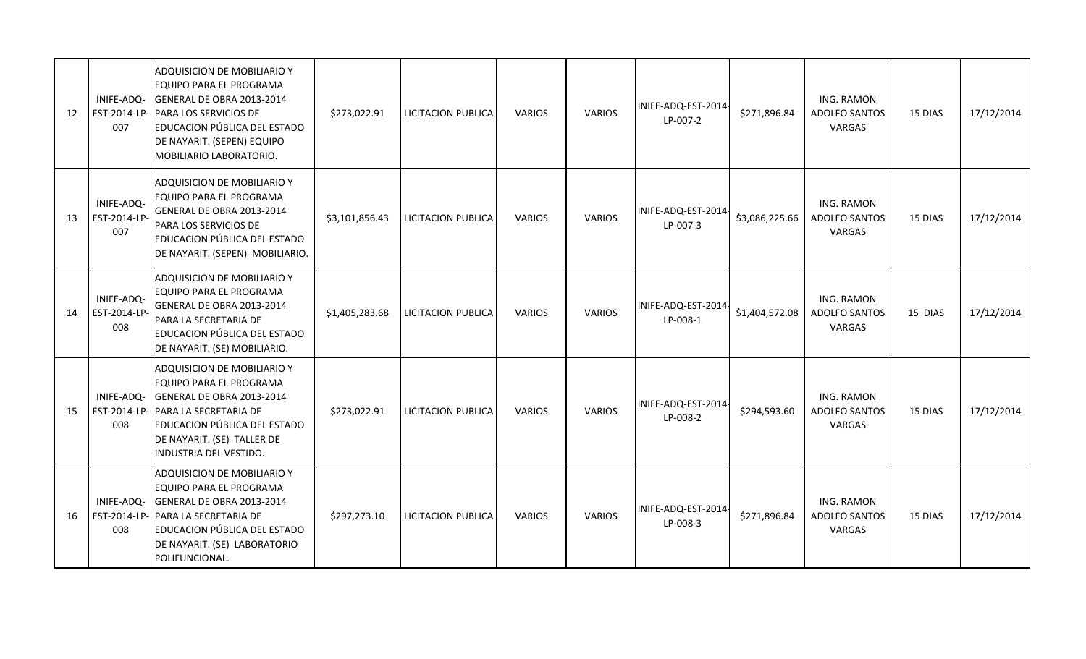| 12 | INIFE-ADQ-<br>EST-2014-LP-<br>007 | ADQUISICION DE MOBILIARIO Y<br>EQUIPO PARA EL PROGRAMA<br>GENERAL DE OBRA 2013-2014<br>PARA LOS SERVICIOS DE<br>EDUCACION PÚBLICA DEL ESTADO<br>DE NAYARIT. (SEPEN) EQUIPO<br>MOBILIARIO LABORATORIO. | \$273,022.91   | <b>LICITACION PUBLICA</b> | <b>VARIOS</b> | <b>VARIOS</b> | INIFE-ADQ-EST-2014-<br>LP-007-2 | \$271,896.84   | ING. RAMON<br>ADOLFO SANTOS<br>VARGAS        | 15 DIAS | 17/12/2014 |
|----|-----------------------------------|-------------------------------------------------------------------------------------------------------------------------------------------------------------------------------------------------------|----------------|---------------------------|---------------|---------------|---------------------------------|----------------|----------------------------------------------|---------|------------|
| 13 | INIFE-ADQ-<br>EST-2014-LP<br>007  | ADQUISICION DE MOBILIARIO Y<br>EQUIPO PARA EL PROGRAMA<br>GENERAL DE OBRA 2013-2014<br>PARA LOS SERVICIOS DE<br>EDUCACION PÚBLICA DEL ESTADO<br>DE NAYARIT. (SEPEN) MOBILIARIO.                       | \$3,101,856.43 | <b>LICITACION PUBLICA</b> | <b>VARIOS</b> | <b>VARIOS</b> | INIFE-ADQ-EST-2014-<br>LP-007-3 | \$3,086,225.66 | ING. RAMON<br><b>ADOLFO SANTOS</b><br>VARGAS | 15 DIAS | 17/12/2014 |
| 14 | INIFE-ADQ-<br>EST-2014-LP<br>008  | ADQUISICION DE MOBILIARIO Y<br>EQUIPO PARA EL PROGRAMA<br>GENERAL DE OBRA 2013-2014<br>PARA LA SECRETARIA DE<br>EDUCACION PÚBLICA DEL ESTADO<br>DE NAYARIT. (SE) MOBILIARIO.                          | \$1,405,283.68 | <b>LICITACION PUBLICA</b> | <b>VARIOS</b> | <b>VARIOS</b> | INIFE-ADQ-EST-2014-<br>LP-008-1 | \$1,404,572.08 | ING. RAMON<br><b>ADOLFO SANTOS</b><br>VARGAS | 15 DIAS | 17/12/2014 |
| 15 | INIFE-ADQ-<br>EST-2014-LP-<br>008 | ADQUISICION DE MOBILIARIO Y<br>EQUIPO PARA EL PROGRAMA<br>GENERAL DE OBRA 2013-2014<br>PARA LA SECRETARIA DE<br>EDUCACION PÚBLICA DEL ESTADO<br>DE NAYARIT. (SE) TALLER DE<br>INDUSTRIA DEL VESTIDO.  | \$273,022.91   | <b>LICITACION PUBLICA</b> | <b>VARIOS</b> | <b>VARIOS</b> | INIFE-ADQ-EST-2014-<br>LP-008-2 | \$294,593.60   | ING. RAMON<br><b>ADOLFO SANTOS</b><br>VARGAS | 15 DIAS | 17/12/2014 |
| 16 | INIFE-ADQ-<br>EST-2014-LP-<br>008 | ADQUISICION DE MOBILIARIO Y<br>EQUIPO PARA EL PROGRAMA<br>GENERAL DE OBRA 2013-2014<br>PARA LA SECRETARIA DE<br>EDUCACION PÚBLICA DEL ESTADO<br>DE NAYARIT. (SE) LABORATORIO<br>POLIFUNCIONAL.        | \$297,273.10   | <b>LICITACION PUBLICA</b> | <b>VARIOS</b> | <b>VARIOS</b> | INIFE-ADQ-EST-2014-<br>LP-008-3 | \$271,896.84   | ING. RAMON<br>ADOLFO SANTOS<br>VARGAS        | 15 DIAS | 17/12/2014 |